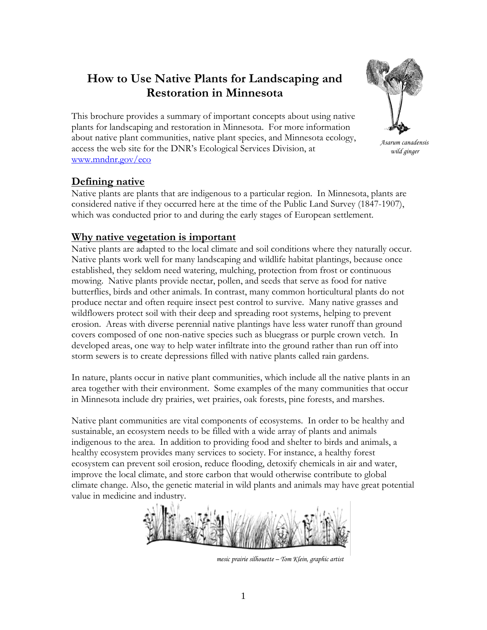# **How to Use Native Plants for Landscaping and Restoration in Minnesota**



 *wild ginger* 

This brochure provides a summary of important concepts about using native plants for landscaping and restoration in Minnesota. For more information about native plant communities, native plant species, and Minnesota ecology, access the web site for the DNR's Ecological Services Division, at www.mndnr.gov/eco

### **Defining native**

Native plants are plants that are indigenous to a particular region. In Minnesota, plants are considered native if they occurred here at the time of the Public Land Survey (1847-1907), which was conducted prior to and during the early stages of European settlement.

#### **Why native vegetation is important**

Native plants are adapted to the local climate and soil conditions where they naturally occur. Native plants work well for many landscaping and wildlife habitat plantings, because once established, they seldom need watering, mulching, protection from frost or continuous mowing. Native plants provide nectar, pollen, and seeds that serve as food for native butterflies, birds and other animals. In contrast, many common horticultural plants do not produce nectar and often require insect pest control to survive. Many native grasses and wildflowers protect soil with their deep and spreading root systems, helping to prevent erosion. Areas with diverse perennial native plantings have less water runoff than ground covers composed of one non-native species such as bluegrass or purple crown vetch. In developed areas, one way to help water infiltrate into the ground rather than run off into storm sewers is to create depressions filled with native plants called rain gardens.

In nature, plants occur in native plant communities, which include all the native plants in an area together with their environment. Some examples of the many communities that occur in Minnesota include dry prairies, wet prairies, oak forests, pine forests, and marshes.

Native plant communities are vital components of ecosystems. In order to be healthy and sustainable, an ecosystem needs to be filled with a wide array of plants and animals indigenous to the area. In addition to providing food and shelter to birds and animals, a healthy ecosystem provides many services to society. For instance, a healthy forest ecosystem can prevent soil erosion, reduce flooding, detoxify chemicals in air and water, improve the local climate, and store carbon that would otherwise contribute to global climate change. Also, the genetic material in wild plants and animals may have great potential value in medicine and industry.

*mesic prairie silhouette – Tom Klein, graphic artist*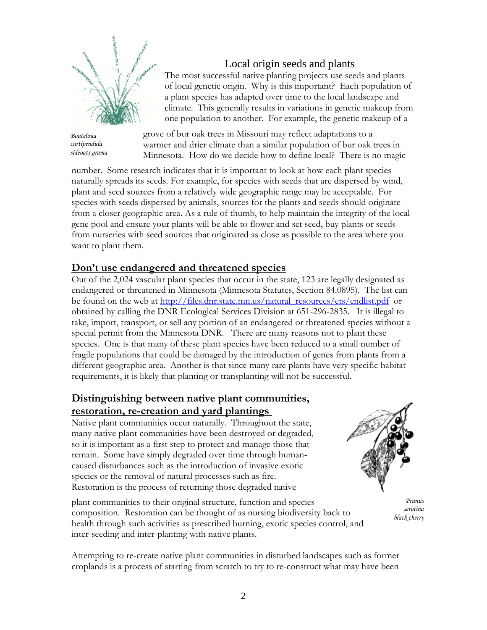

*Bouteloua curtipendula sideoats grama* 

## Local origin seeds and plants

The most successful native planting projects use seeds and plants of local genetic origin. Why is this important? Each population of a plant species has adapted over time to the local landscape and climate. This generally results in variations in genetic makeup from one population to another. For example, the genetic makeup of a

grove of bur oak trees in Missouri may reflect adaptations to a warmer and drier climate than a similar population of bur oak trees in Minnesota. How do we decide how to define local? There is no magic

number. Some research indicates that it is important to look at how each plant species naturally spreads its seeds. For example, for species with seeds that are dispersed by wind, plant and seed sources from a relatively wide geographic range may be acceptable. For species with seeds dispersed by animals, sources for the plants and seeds should originate from a closer geographic area. As a rule of thumb, to help maintain the integrity of the local gene pool and ensure your plants will be able to flower and set seed, buy plants or seeds from nurseries with seed sources that originated as close as possible to the area where you want to plant them.

#### **Don't use endangered and threatened species**

Out of the 2,024 vascular plant species that occur in the state, 123 are legally designated as endangered or threatened in Minnesota (Minnesota Statutes, Section 84.0895). The list can be found on the web at [http://files.dnr.state.mn.us/natural\\_resources/ets/endlist.pdf](http://files.dnr.state.mn.us/natural_resources/ets/endlist.pdf) or obtained by calling the DNR Ecological Services Division at 651-296-2835. It is illegal to take, import, transport, or sell any portion of an endangered or threatened species without a special permit from the Minnesota DNR. There are many reasons not to plant these species. One is that many of these plant species have been reduced to a small number of fragile populations that could be damaged by the introduction of genes from plants from a different geographic area. Another is that since many rare plants have very specific habitat requirements, it is likely that planting or transplanting will not be successful.

#### **Distinguishing between native plant communities, restoration, re-creation and yard plantings**

Native plant communities occur naturally. Throughout the state, many native plant communities have been destroyed or degraded, so it is important as a first step to protect and manage those that remain. Some have simply degraded over time through humancaused disturbances such as the introduction of invasive exotic species or the removal of natural processes such as fire. Restoration is the process of returning those degraded native



plant communities to their original structure, function and species composition. Restoration can be thought of as nursing biodiversity back to health through such activities as prescribed burning, exotic species control, and inter-seeding and inter-planting with native plants.

 *Prunus serotina black cherry*

Attempting to re-create native plant communities in disturbed landscapes such as former croplands is a process of starting from scratch to try to re-construct what may have been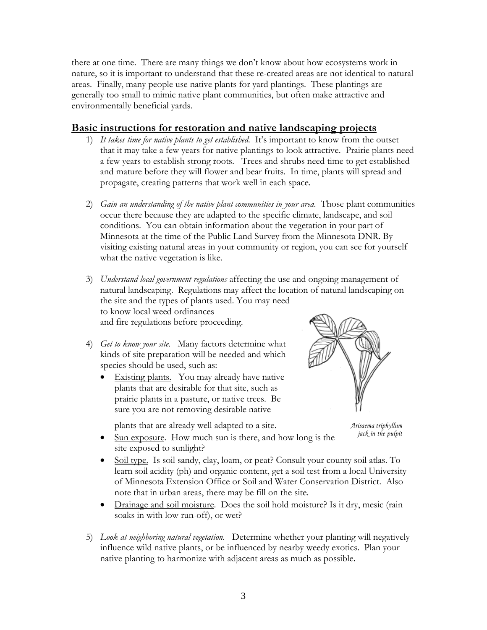there at one time. There are many things we don't know about how ecosystems work in nature, so it is important to understand that these re-created areas are not identical to natural areas. Finally, many people use native plants for yard plantings. These plantings are generally too small to mimic native plant communities, but often make attractive and environmentally beneficial yards.

#### **Basic instructions for restoration and native landscaping projects**

- 1) *It takes time for native plants to get established.* It's important to know from the outset that it may take a few years for native plantings to look attractive. Prairie plants need a few years to establish strong roots. Trees and shrubs need time to get established and mature before they will flower and bear fruits. In time, plants will spread and propagate, creating patterns that work well in each space.
- 2) *Gain an understanding of the native plant communities in your area*. Those plant communities occur there because they are adapted to the specific climate, landscape, and soil conditions. You can obtain information about the vegetation in your part of Minnesota at the time of the Public Land Survey from the Minnesota DNR. By visiting existing natural areas in your community or region, you can see for yourself what the native vegetation is like.
- 3) *Understand local government regulations* affecting the use and ongoing management of natural landscaping. Regulations may affect the location of natural landscaping on the site and the types of plants used. You may need to know local weed ordinances and fire regulations before proceeding.
- 4) *Get to know your site.* Many factors determine what kinds of site preparation will be needed and which species should be used, such as:
	- Existing plants. You may already have native plants that are desirable for that site, such as prairie plants in a pasture, or native trees. Be sure you are not removing desirable native

plants that are already well adapted to a site.



*Arisaema triphyllum jack-in-the-pulpit*

- Sun exposure. How much sun is there, and how long is the site exposed to sunlight?
- Soil type. Is soil sandy, clay, loam, or peat? Consult your county soil atlas. To learn soil acidity (ph) and organic content, get a soil test from a local University of Minnesota Extension Office or Soil and Water Conservation District. Also note that in urban areas, there may be fill on the site.
- Drainage and soil moisture. Does the soil hold moisture? Is it dry, mesic (rain soaks in with low run-off), or wet?
- 5) *Look at neighboring natural vegetation.* Determine whether your planting will negatively influence wild native plants, or be influenced by nearby weedy exotics. Plan your native planting to harmonize with adjacent areas as much as possible.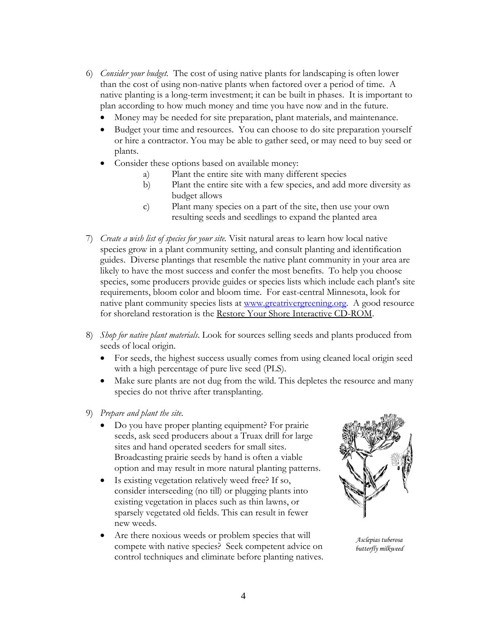- 6) *Consider your budget.* The cost of using native plants for landscaping is often lower than the cost of using non-native plants when factored over a period of time. A native planting is a long-term investment; it can be built in phases. It is important to plan according to how much money and time you have now and in the future.
	- Money may be needed for site preparation, plant materials, and maintenance.
	- Budget your time and resources. You can choose to do site preparation yourself or hire a contractor. You may be able to gather seed, or may need to buy seed or plants.
	- Consider these options based on available money:
		- a) Plant the entire site with many different species
		- b) Plant the entire site with a few species, and add more diversity as budget allows
		- c) Plant many species on a part of the site, then use your own resulting seeds and seedlings to expand the planted area
- 7) *Create a wish list of species for your site.* Visit natural areas to learn how local native species grow in a plant community setting, and consult planting and identification guides. Diverse plantings that resemble the native plant community in your area are likely to have the most success and confer the most benefits. To help you choose species, some producers provide guides or species lists which include each plant's site requirements, bloom color and bloom time. For east-central Minnesota, look for native plant community species lists at [www.greatrivergreening.org](http://www.greatrivergreening.org/). A good resource for shoreland restoration is the Restore Your Shore Interactive CD-ROM.
- 8) *Shop for native plant materials*. Look for sources selling seeds and plants produced from seeds of local origin.
	- For seeds, the highest success usually comes from using cleaned local origin seed with a high percentage of pure live seed (PLS).
	- Make sure plants are not dug from the wild. This depletes the resource and many species do not thrive after transplanting.
- 9) *Prepare and plant the site*.
	- Do you have proper planting equipment? For prairie seeds, ask seed producers about a Truax drill for large sites and hand operated seeders for small sites. Broadcasting prairie seeds by hand is often a viable option and may result in more natural planting patterns.
	- Is existing vegetation relatively weed free? If so, consider interseeding (no till) or plugging plants into existing vegetation in places such as thin lawns, or sparsely vegetated old fields. This can result in fewer new weeds.
	- Are there noxious weeds or problem species that will compete with native species? Seek competent advice on control techniques and eliminate before planting natives.



*Asclepias tuberosa butterfly milkweed*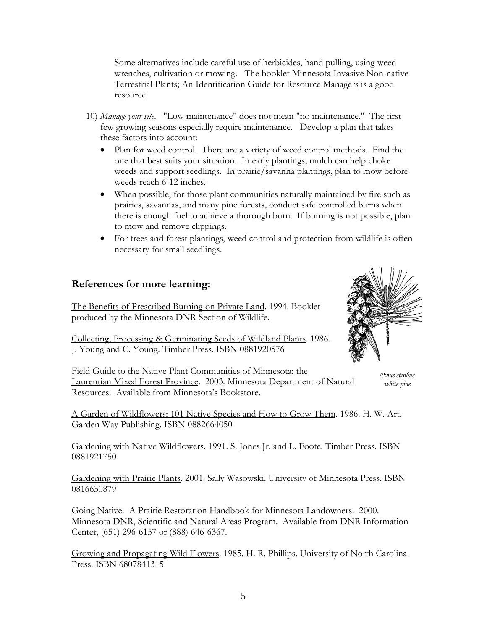Some alternatives include careful use of herbicides, hand pulling, using weed wrenches, cultivation or mowing. The booklet Minnesota Invasive Non-native Terrestrial Plants; An Identification Guide for Resource Managers is a good resource.

- 10) *Manage your site*. "Low maintenance" does not mean "no maintenance." The first few growing seasons especially require maintenance. Develop a plan that takes these factors into account:
	- Plan for weed control. There are a variety of weed control methods. Find the one that best suits your situation. In early plantings, mulch can help choke weeds and support seedlings. In prairie/savanna plantings, plan to mow before weeds reach 6-12 inches.
	- When possible, for those plant communities naturally maintained by fire such as prairies, savannas, and many pine forests, conduct safe controlled burns when there is enough fuel to achieve a thorough burn. If burning is not possible, plan to mow and remove clippings.
	- For trees and forest plantings, weed control and protection from wildlife is often necessary for small seedlings.

#### **References for more learning:**

The Benefits of Prescribed Burning on Private Land. 1994. Booklet produced by the Minnesota DNR Section of Wildlife.

Collecting, Processing & Germinating Seeds of Wildland Plants. 1986. J. Young and C. Young. Timber Press. ISBN 0881920576



Field Guide to the Native Plant Communities of Minnesota: the Laurentian Mixed Forest Province. 2003. Minnesota Department of Natural Resources. Available from Minnesota's Bookstore.

*Pinus strobus white pine* 

A Garden of Wildflowers: 101 Native Species and How to Grow Them. 1986. H. W. Art. Garden Way Publishing. ISBN 0882664050

Gardening with Native Wildflowers. 1991. S. Jones Jr. and L. Foote. Timber Press. ISBN 0881921750

Gardening with Prairie Plants. 2001. Sally Wasowski. University of Minnesota Press. ISBN 0816630879

Going Native: A Prairie Restoration Handbook for Minnesota Landowners. 2000. Minnesota DNR, Scientific and Natural Areas Program. Available from DNR Information Center, (651) 296-6157 or (888) 646-6367.

Growing and Propagating Wild Flowers. 1985. H. R. Phillips. University of North Carolina Press. ISBN 6807841315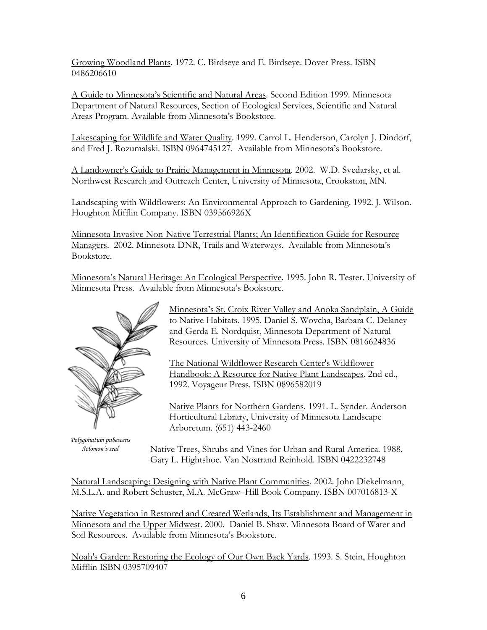Growing Woodland Plants. 1972. C. Birdseye and E. Birdseye. Dover Press. ISBN 0486206610

A Guide to Minnesota's Scientific and Natural Areas. Second Edition 1999. Minnesota Department of Natural Resources, Section of Ecological Services, Scientific and Natural Areas Program. Available from Minnesota's Bookstore.

Lakescaping for Wildlife and Water Quality. 1999. Carrol L. Henderson, Carolyn J. Dindorf, and Fred J. Rozumalski. ISBN 0964745127. Available from Minnesota's Bookstore.

A Landowner's Guide to Prairie Management in Minnesota. 2002. W.D. Svedarsky, et al. Northwest Research and Outreach Center, University of Minnesota, Crookston, MN.

Landscaping with Wildflowers: An Environmental Approach to Gardening. 1992. J. Wilson. Houghton Mifflin Company. ISBN 039566926X

Minnesota Invasive Non-Native Terrestrial Plants; An Identification Guide for Resource Managers. 2002. Minnesota DNR, Trails and Waterways. Available from Minnesota's Bookstore.

Minnesota's Natural Heritage: An Ecological Perspective. 1995. John R. Tester. University of Minnesota Press. Available from Minnesota's Bookstore.



*Polygonatum pubescens*

Minnesota's St. Croix River Valley and Anoka Sandplain, A Guide to Native Habitats. 1995. Daniel S. Wovcha, Barbara C. Delaney and Gerda E. Nordquist, Minnesota Department of Natural Resources. University of Minnesota Press. ISBN 0816624836

The National Wildflower Research Center's Wildflower Handbook: A Resource for Native Plant Landscapes. 2nd ed., 1992. Voyageur Press. ISBN 0896582019

Native Plants for Northern Gardens. 1991. L. Synder. Anderson Horticultural Library, University of Minnesota Landscape Arboretum. (651) 443-2460

*Solomon's seal* Native Trees, Shrubs and Vines for Urban and Rural America. 1988. Gary L. Hightshoe. Van Nostrand Reinhold. ISBN 0422232748

Natural Landscaping: Designing with Native Plant Communities. 2002. John Diekelmann, M.S.L.A. and Robert Schuster, M.A. McGraw–Hill Book Company. ISBN 007016813-X

Native Vegetation in Restored and Created Wetlands, Its Establishment and Management in Minnesota and the Upper Midwest. 2000. Daniel B. Shaw. Minnesota Board of Water and Soil Resources. Available from Minnesota's Bookstore.

Noah's Garden: Restoring the Ecology of Our Own Back Yards. 1993. S. Stein, Houghton Mifflin ISBN 0395709407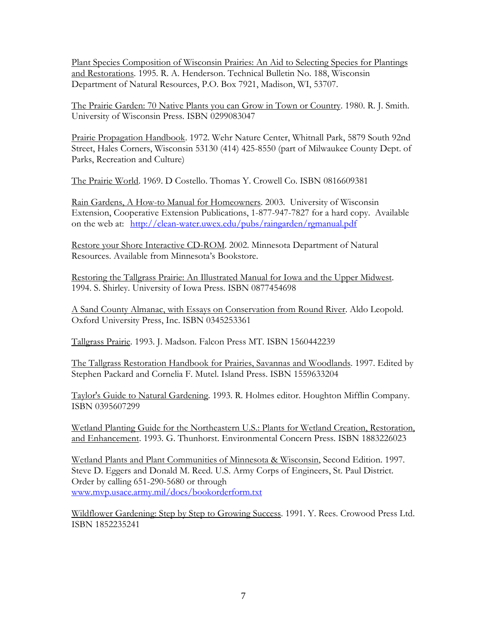Plant Species Composition of Wisconsin Prairies: An Aid to Selecting Species for Plantings and Restorations. 1995. R. A. Henderson. Technical Bulletin No. 188, Wisconsin Department of Natural Resources, P.O. Box 7921, Madison, WI, 53707.

The Prairie Garden: 70 Native Plants you can Grow in Town or Country. 1980. R. J. Smith. University of Wisconsin Press. ISBN 0299083047

Prairie Propagation Handbook. 1972. Wehr Nature Center, Whitnall Park, 5879 South 92nd Street, Hales Corners, Wisconsin 53130 (414) 425-8550 (part of Milwaukee County Dept. of Parks, Recreation and Culture)

The Prairie World. 1969. D Costello. Thomas Y. Crowell Co. ISBN 0816609381

Rain Gardens, A How-to Manual for Homeowners. 2003. University of Wisconsin Extension, Cooperative Extension Publications, 1-877-947-7827 for a hard copy. Available on the web at: <http://clean-water.uwex.edu/pubs/raingarden/rgmanual.pdf>

Restore your Shore Interactive CD-ROM. 2002. Minnesota Department of Natural Resources. Available from Minnesota's Bookstore.

Restoring the Tallgrass Prairie: An Illustrated Manual for Iowa and the Upper Midwest. 1994. S. Shirley. University of Iowa Press. ISBN 0877454698

A Sand County Almanac, with Essays on Conservation from Round River. Aldo Leopold. Oxford University Press, Inc. ISBN 0345253361

Tallgrass Prairie. 1993. J. Madson. Falcon Press MT. ISBN 1560442239

The Tallgrass Restoration Handbook for Prairies, Savannas and Woodlands. 1997. Edited by Stephen Packard and Cornelia F. Mutel. Island Press. ISBN 1559633204

Taylor's Guide to Natural Gardening. 1993. R. Holmes editor. Houghton Mifflin Company. ISBN 0395607299

Wetland Planting Guide for the Northeastern U.S.: Plants for Wetland Creation, Restoration, and Enhancement. 1993. G. Thunhorst. Environmental Concern Press. ISBN 1883226023

Wetland Plants and Plant Communities of Minnesota & Wisconsin, Second Edition. 1997. Steve D. Eggers and Donald M. Reed. U.S. Army Corps of Engineers, St. Paul District. Order by calling 651-290-5680 or through [www.mvp.usace.army.mil/docs/bookorderform.txt](http://www.mvp.usace.army.mil/docs/bookorderform.txt)

Wildflower Gardening: Step by Step to Growing Success. 1991. Y. Rees. Crowood Press Ltd. ISBN 1852235241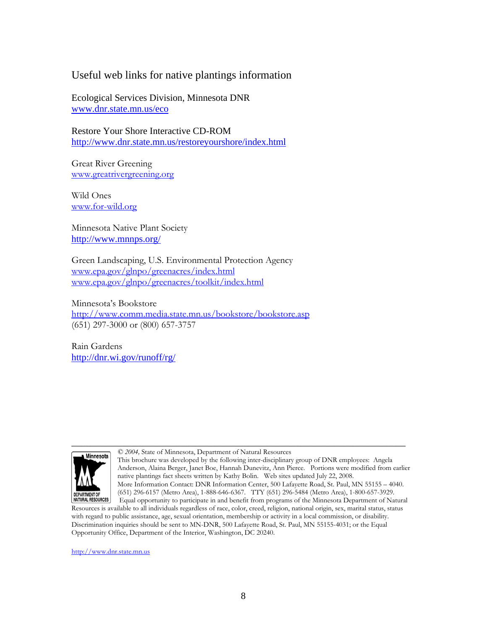#### Useful web links for native plantings information

Ecological Services Division, Minnesota DNR [www.dnr.state.mn.us/eco](http://www.dnr.state.mn.us/eco)

Restore Your Shore Interactive CD-ROM <http://www.dnr.state.mn.us/restoreyourshore/index.html>

Great River Greening [www.greatrivergreening.org](http://www.greatrivergreening.org/)

Wild Ones [www.for-wild.org](http://www.for-wild.org/)

Minnesota Native Plant Society <http://www.mnnps.org/>

Green Landscaping, U.S. Environmental Protection Agency [www.epa.gov/glnpo/greenacres/index.html](http://www.epa.gov/glnpo/greenacres/index.html) [www.epa.gov/glnpo/greenacres/toolkit/index.html](http://www.epa.gov/glnpo/greenacres/toolkit/index.html)

Minnesota's Bookstore <http://www.comm.media.state.mn.us/bookstore/bookstore.asp> (651) 297-3000 or (800) 657-3757

Rain Gardens <http://dnr.wi.gov/runoff/rg/>



\_\_\_\_\_\_\_\_\_\_\_\_\_\_\_\_\_\_\_\_\_\_\_\_\_\_\_\_\_\_\_\_\_\_\_\_\_\_\_\_\_\_\_\_\_\_\_\_\_\_\_\_\_\_\_\_\_\_\_\_\_\_\_\_\_\_\_\_\_\_ *© 2004,* State of Minnesota, Department of Natural Resources

> This brochure was developed by the following inter-disciplinary group of DNR employees: Angela Anderson, Alaina Berger, Janet Boe, Hannah Dunevitz, Ann Pierce. Portions were modified from earlier native plantings fact sheets written by Kathy Bolin. Web sites updated July 22, 2008. More Information Contact: DNR Information Center, 500 Lafayette Road, St. Paul, MN 55155 – 4040. (651) 296-6157 (Metro Area), 1-888-646-6367. TTY (651) 296-5484 (Metro Area), 1-800-657-3929. Equal opportunity to participate in and benefit from programs of the Minnesota Department of Natural

Resources is available to all individuals regardless of race, color, creed, religion, national origin, sex, marital status, status with regard to public assistance, age, sexual orientation, membership or activity in a local commission, or disability. Discrimination inquiries should be sent to MN-DNR, 500 Lafayette Road, St. Paul, MN 55155-4031; or the Equal Opportunity Office, Department of the Interior, Washington, DC 20240.

[http://www.dnr.state.mn.us](http://www.dnr.state.mn.us/)